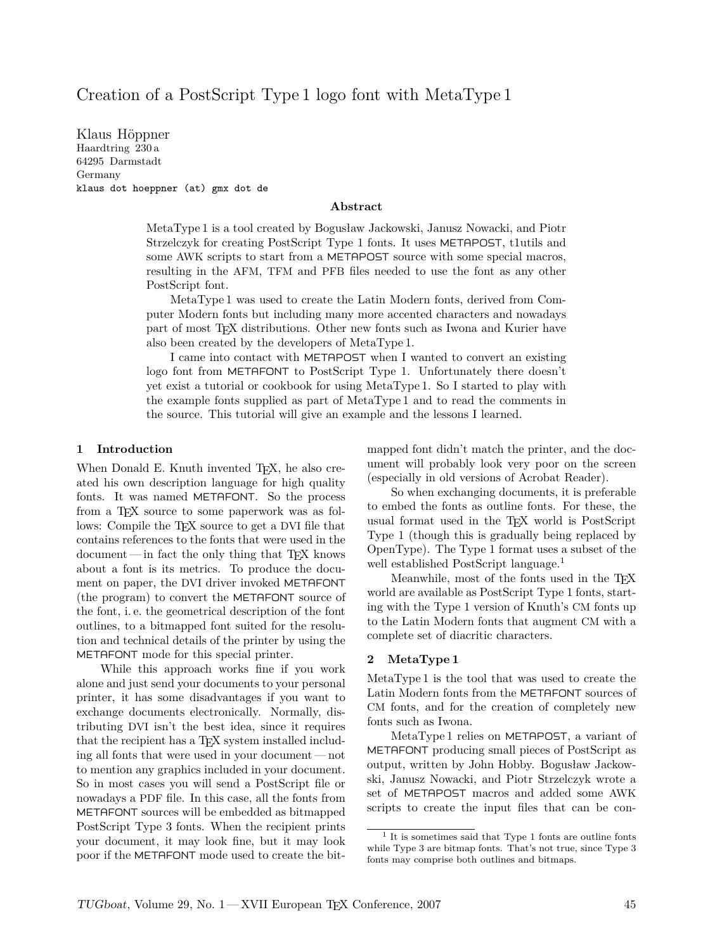## Creation of a PostScript Type 1 logo font with MetaType 1

Klaus Höppner Haardtring 230 a 64295 Darmstadt Germany klaus dot hoeppner (at) gmx dot de

#### **Abstract**

MetaType 1 is a tool created by Bogusław Jackowski, Janusz Nowacki, and Piotr Strzelczyk for creating PostScript Type 1 fonts. It uses METAPOST, t1utils and some AWK scripts to start from a METAPOST source with some special macros, resulting in the AFM, TFM and PFB files needed to use the font as any other PostScript font.

MetaType 1 was used to create the Latin Modern fonts, derived from Computer Modern fonts but including many more accented characters and nowadays part of most TEX distributions. Other new fonts such as Iwona and Kurier have also been created by the developers of MetaType 1.

I came into contact with METAPOST when I wanted to convert an existing logo font from METAFONT to PostScript Type 1. Unfortunately there doesn't yet exist a tutorial or cookbook for using MetaType 1. So I started to play with the example fonts supplied as part of MetaType 1 and to read the comments in the source. This tutorial will give an example and the lessons I learned.

#### **1 Introduction**

When Donald E. Knuth invented T<sub>E</sub>X, he also created his own description language for high quality fonts. It was named METAFONT. So the process from a T<sub>F</sub>X source to some paperwork was as follows: Compile the T<sub>E</sub>X source to get a DVI file that contains references to the fonts that were used in the document— in fact the only thing that TEX knows about a font is its metrics. To produce the document on paper, the DVI driver invoked METAFONT (the program) to convert the METAFONT source of the font, i. e. the geometrical description of the font outlines, to a bitmapped font suited for the resolution and technical details of the printer by using the METAFONT mode for this special printer.

While this approach works fine if you work alone and just send your documents to your personal printer, it has some disadvantages if you want to exchange documents electronically. Normally, distributing DVI isn't the best idea, since it requires that the recipient has a T<sub>EX</sub> system installed including all fonts that were used in your document— not to mention any graphics included in your document. So in most cases you will send a PostScript file or nowadays a PDF file. In this case, all the fonts from METAFONT sources will be embedded as bitmapped PostScript Type 3 fonts. When the recipient prints your document, it may look fine, but it may look poor if the METAFONT mode used to create the bitmapped font didn't match the printer, and the document will probably look very poor on the screen (especially in old versions of Acrobat Reader).

So when exchanging documents, it is preferable to embed the fonts as outline fonts. For these, the usual format used in the TEX world is PostScript Type 1 (though this is gradually being replaced by OpenType). The Type 1 format uses a subset of the well established PostScript language.<sup>1</sup>

Meanwhile, most of the fonts used in the TEX world are available as PostScript Type 1 fonts, starting with the Type 1 version of Knuth's CM fonts up to the Latin Modern fonts that augment CM with a complete set of diacritic characters.

#### **2 MetaType 1**

MetaType 1 is the tool that was used to create the Latin Modern fonts from the METAFONT sources of CM fonts, and for the creation of completely new fonts such as Iwona.

MetaType 1 relies on METAPOST, a variant of METAFONT producing small pieces of PostScript as output, written by John Hobby. Bogusław Jackowski, Janusz Nowacki, and Piotr Strzelczyk wrote a set of METAPOST macros and added some AWK scripts to create the input files that can be con-

<sup>1</sup> It is sometimes said that Type 1 fonts are outline fonts while Type 3 are bitmap fonts. That's not true, since Type 3 fonts may comprise both outlines and bitmaps.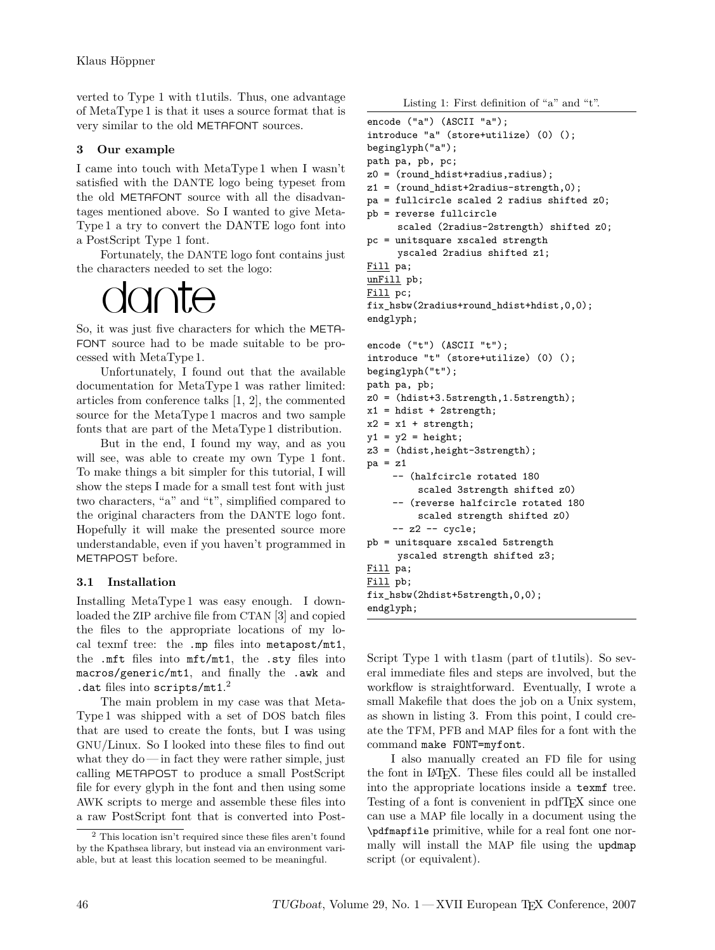verted to Type 1 with t1utils. Thus, one advantage of MetaType 1 is that it uses a source format that is very similar to the old METAFONT sources.

## **3 Our example**

I came into touch with MetaType 1 when I wasn't satisfied with the DANTE logo being typeset from the old METAFONT source with all the disadvantages mentioned above. So I wanted to give Meta-Type 1 a try to convert the DANTE logo font into a PostScript Type 1 font.

Fortunately, the DANTE logo font contains just the characters needed to set the logo:

# $\cap$ nte

So, it was just five characters for which the META-FONT source had to be made suitable to be processed with MetaType 1.

Unfortunately, I found out that the available documentation for MetaType 1 was rather limited: articles from conference talks [1, 2], the commented source for the MetaType 1 macros and two sample fonts that are part of the MetaType 1 distribution.

But in the end, I found my way, and as you will see, was able to create my own Type 1 font. To make things a bit simpler for this tutorial, I will show the steps I made for a small test font with just two characters, "a" and "t", simplified compared to the original characters from the DANTE logo font. Hopefully it will make the presented source more understandable, even if you haven't programmed in METAPOST before.

## **3.1 Installation**

Installing MetaType 1 was easy enough. I downloaded the ZIP archive file from CTAN [3] and copied the files to the appropriate locations of my local texmf tree: the .mp files into metapost/mt1, the .mft files into mft/mt1, the .sty files into macros/generic/mt1, and finally the .awk and .dat files into scripts/mt1. 2

The main problem in my case was that Meta-Type 1 was shipped with a set of DOS batch files that are used to create the fonts, but I was using GNU/Linux. So I looked into these files to find out what they do — in fact they were rather simple, just calling METAPOST to produce a small PostScript file for every glyph in the font and then using some AWK scripts to merge and assemble these files into a raw PostScript font that is converted into Post-

Listing 1: First definition of "a" and "t".

```
encode ("a") (ASCII "a");
introduce "a" (store+utilize) (0) ();
beginglyph("a");
path pa, pb, pc;
z0 = (round\text{hdist}+radius,radius);z1 = (round\_hdist+2radius-strength, 0);pa = fullcircle scaled 2 radius shifted z0;
pb = reverse fullcircle
     scaled (2radius-2strength) shifted z0;
pc = unitsquare xscaled strength
     yscaled 2radius shifted z1;
Fill pa;
unFill pb;
Fill pc;
fix_hsbw(2radius+round_hdist+hdist,0,0);
endglyph;
encode ("t") (ASCII "t");
introduce "t" (store+utilize) (0) ();
beginglyph("t");
path pa, pb;
z0 = (hdist+3.5strength,1.5strength);
x1 = hdist + 2strength;
x2 = x1 + \text{strength};
y1 = y2 = height;z3 = (hdist,height-3strength);
pa = z1-- (halfcircle rotated 180
         scaled 3strength shifted z0)
    -- (reverse halfcircle rotated 180
         scaled strength shifted z0)
    -- z2 -- cycle;
pb = unitsquare xscaled 5strength
     yscaled strength shifted z3;
Fill pa;
Fill pb;
fix_hsbw(2hdist+5strength,0,0);
endglyph;
```
Script Type 1 with t1asm (part of t1utils). So several immediate files and steps are involved, but the workflow is straightforward. Eventually, I wrote a small Makefile that does the job on a Unix system, as shown in listing 3. From this point, I could create the TFM, PFB and MAP files for a font with the command make FONT=myfont.

I also manually created an FD file for using the font in LATEX. These files could all be installed into the appropriate locations inside a texmf tree. Testing of a font is convenient in pdfTEX since one can use a MAP file locally in a document using the \pdfmapfile primitive, while for a real font one normally will install the MAP file using the updmap script (or equivalent).

<sup>2</sup> This location isn't required since these files aren't found by the Kpathsea library, but instead via an environment variable, but at least this location seemed to be meaningful.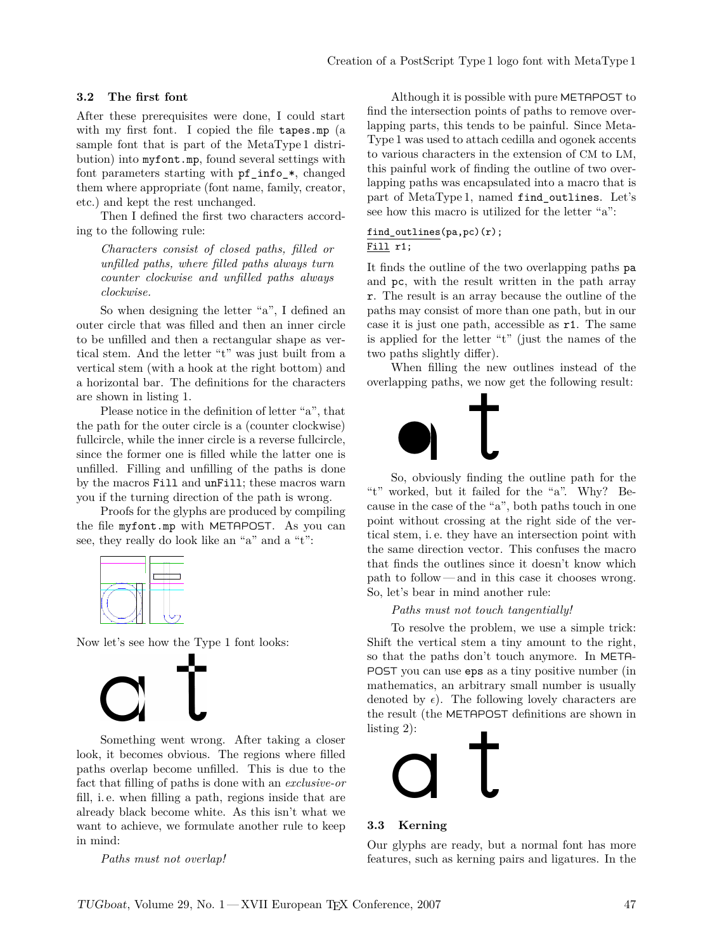#### **3.2 The first font**

After these prerequisites were done, I could start with my first font. I copied the file tapes.mp (a sample font that is part of the MetaType 1 distribution) into myfont.mp, found several settings with font parameters starting with  $pf$  info  $*$ , changed them where appropriate (font name, family, creator, etc.) and kept the rest unchanged.

Then I defined the first two characters according to the following rule:

*Characters consist of closed paths, filled or unfilled paths, where filled paths always turn counter clockwise and unfilled paths always clockwise.*

So when designing the letter "a", I defined an outer circle that was filled and then an inner circle to be unfilled and then a rectangular shape as vertical stem. And the letter "t" was just built from a vertical stem (with a hook at the right bottom) and a horizontal bar. The definitions for the characters are shown in listing 1.

Please notice in the definition of letter "a", that the path for the outer circle is a (counter clockwise) fullcircle, while the inner circle is a reverse fullcircle, since the former one is filled while the latter one is unfilled. Filling and unfilling of the paths is done by the macros Fill and unFill; these macros warn you if the turning direction of the path is wrong.

Proofs for the glyphs are produced by compiling the file myfont.mp with METAPOST. As you can see, they really do look like an "a" and a "t":



Now let's see how the Type 1 font looks:



Something went wrong. After taking a closer look, it becomes obvious. The regions where filled paths overlap become unfilled. This is due to the fact that filling of paths is done with an *exclusive-or* fill, i. e. when filling a path, regions inside that are already black become white. As this isn't what we want to achieve, we formulate another rule to keep in mind:

*Paths must not overlap!*

Although it is possible with pure METAPOST to find the intersection points of paths to remove overlapping parts, this tends to be painful. Since Meta-Type 1 was used to attach cedilla and ogonek accents to various characters in the extension of CM to LM, this painful work of finding the outline of two overlapping paths was encapsulated into a macro that is part of MetaType 1, named find\_outlines. Let's see how this macro is utilized for the letter "a":

#### find\_outlines(pa,pc)(r); Fill r1;

It finds the outline of the two overlapping paths pa and pc, with the result written in the path array r. The result is an array because the outline of the paths may consist of more than one path, but in our case it is just one path, accessible as r1. The same is applied for the letter "t" (just the names of the two paths slightly differ).

When filling the new outlines instead of the overlapping paths, we now get the following result:



So, obviously finding the outline path for the "t" worked, but it failed for the "a". Why? Because in the case of the "a", both paths touch in one point without crossing at the right side of the vertical stem, i. e. they have an intersection point with the same direction vector. This confuses the macro that finds the outlines since it doesn't know which path to follow— and in this case it chooses wrong. So, let's bear in mind another rule:

*Paths must not touch tangentially!*

To resolve the problem, we use a simple trick: Shift the vertical stem a tiny amount to the right, so that the paths don't touch anymore. In META-POST you can use eps as a tiny positive number (in mathematics, an arbitrary small number is usually denoted by  $\epsilon$ ). The following lovely characters are the result (the METAPOST definitions are shown in listing 2):



#### **3.3 Kerning**

Our glyphs are ready, but a normal font has more features, such as kerning pairs and ligatures. In the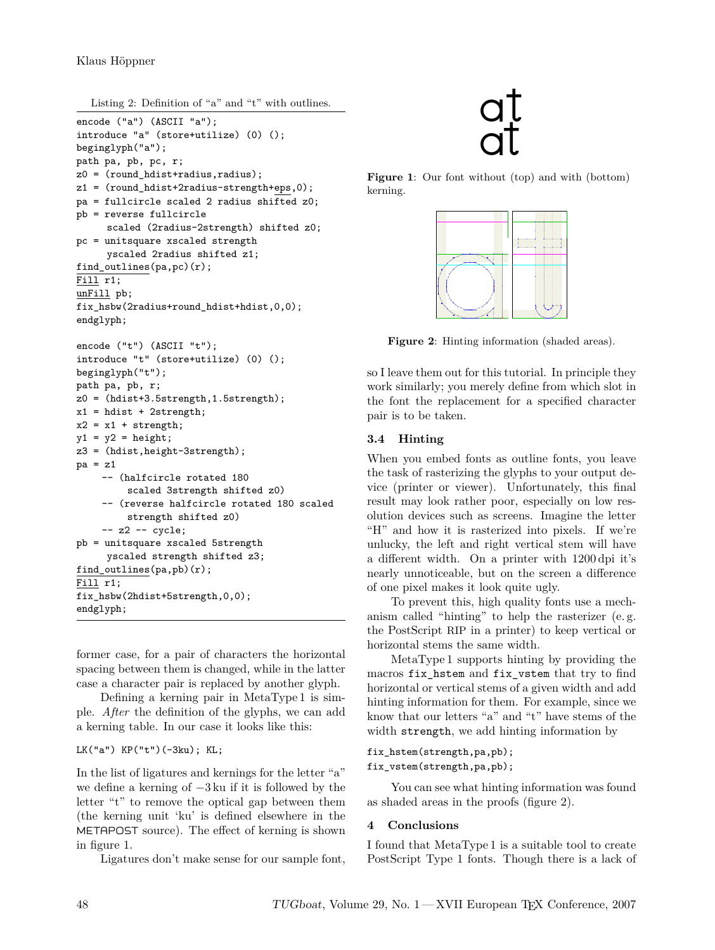Listing 2: Definition of "a" and "t" with outlines.

```
encode ("a") (ASCII "a");
introduce "a" (store+utilize) (0) ();
beginglyph("a");
path pa, pb, pc, r;
z0 = (round_hdist+radius,radius);
z1 = (round_hdist+2radius-strength+eps,0);
pa = fullcircle scaled 2 radius shifted z0;
pb = reverse fullcircle
     scaled (2radius-2strength) shifted z0;
pc = unitsquare xscaled strength
     yscaled 2radius shifted z1;
find_outlines(pa,pc)(r);
Fill r1;
unFill pb;
fix hsbw(2radius+round hdist+hdist,0,0);
endglyph;
encode ("t") (ASCII "t");
introduce "t" (store+utilize) (0) ();
beginglyph("t");
path pa, pb, r;
z0 = (hdist+3.5strength,1.5strength);
x1 = hdist + 2strength;
x2 = x1 + \text{strength};
y1 = y2 = height;z3 = (hdist,height-3strength);
pa = z1-- (halfcircle rotated 180
         scaled 3strength shifted z0)
    -- (reverse halfcircle rotated 180 scaled
         strength shifted z0)
    - z2 - cycle;
pb = unitsquare xscaled 5strength
     yscaled strength shifted z3;
find_outlines(pa,pb)(r);
Fill r1;
fix_hsbw(2hdist+5strength,0,0);
endglyph;
```
former case, for a pair of characters the horizontal spacing between them is changed, while in the latter case a character pair is replaced by another glyph.

Defining a kerning pair in MetaType 1 is simple. *After* the definition of the glyphs, we can add a kerning table. In our case it looks like this:

```
LK("a") KP("t")(-3ku); KL;
```
In the list of ligatures and kernings for the letter "a" we define a kerning of *−*3 ku if it is followed by the letter "t" to remove the optical gap between them (the kerning unit 'ku' is defined elsewhere in the METAPOST source). The effect of kerning is shown in figure 1.

Ligatures don't make sense for our sample font,



**Figure 1**: Our font without (top) and with (bottom) kerning.



**Figure 2**: Hinting information (shaded areas).

so I leave them out for this tutorial. In principle they work similarly; you merely define from which slot in the font the replacement for a specified character pair is to be taken.

## **3.4 Hinting**

When you embed fonts as outline fonts, you leave the task of rasterizing the glyphs to your output device (printer or viewer). Unfortunately, this final result may look rather poor, especially on low resolution devices such as screens. Imagine the letter "H" and how it is rasterized into pixels. If we're unlucky, the left and right vertical stem will have a different width. On a printer with 1200 dpi it's nearly unnoticeable, but on the screen a difference of one pixel makes it look quite ugly.

To prevent this, high quality fonts use a mechanism called "hinting" to help the rasterizer (e. g. the PostScript RIP in a printer) to keep vertical or horizontal stems the same width.

MetaType 1 supports hinting by providing the macros fix\_hstem and fix\_vstem that try to find horizontal or vertical stems of a given width and add hinting information for them. For example, since we know that our letters "a" and "t" have stems of the width strength, we add hinting information by

## fix\_hstem(strength,pa,pb);

fix\_vstem(strength,pa,pb);

You can see what hinting information was found as shaded areas in the proofs (figure 2).

### **4 Conclusions**

I found that MetaType 1 is a suitable tool to create PostScript Type 1 fonts. Though there is a lack of